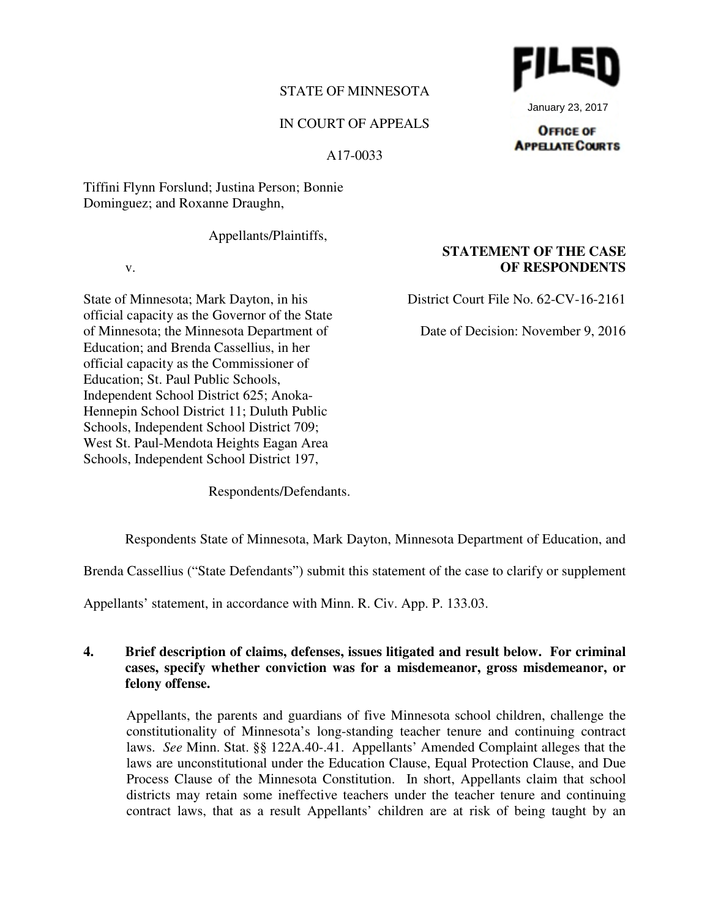# STATE OF MINNESOTA

# IN COURT OF APPEALS

A17-0033

Tiffini Flynn Forslund; Justina Person; Bonnie Dominguez; and Roxanne Draughn,

Appellants/Plaintiffs,

v.

State of Minnesota; Mark Dayton, in his official capacity as the Governor of the State of Minnesota; the Minnesota Department of Education; and Brenda Cassellius, in her official capacity as the Commissioner of Education; St. Paul Public Schools, Independent School District 625; Anoka-Hennepin School District 11; Duluth Public Schools, Independent School District 709; West St. Paul-Mendota Heights Eagan Area Schools, Independent School District 197,

Respondents/Defendants.

Respondents State of Minnesota, Mark Dayton, Minnesota Department of Education, and

Brenda Cassellius ("State Defendants") submit this statement of the case to clarify or supplement

Appellants' statement, in accordance with Minn. R. Civ. App. P. 133.03.

# **4. Brief description of claims, defenses, issues litigated and result below. For criminal cases, specify whether conviction was for a misdemeanor, gross misdemeanor, or felony offense.**

Appellants, the parents and guardians of five Minnesota school children, challenge the constitutionality of Minnesota's long-standing teacher tenure and continuing contract laws. *See* Minn. Stat. §§ 122A.40-.41. Appellants' Amended Complaint alleges that the laws are unconstitutional under the Education Clause, Equal Protection Clause, and Due Process Clause of the Minnesota Constitution. In short, Appellants claim that school districts may retain some ineffective teachers under the teacher tenure and continuing contract laws, that as a result Appellants' children are at risk of being taught by an

January 23, 2017

#### **OFFICE OF APPELATE COURTS**

**OF RESPONDENTS**

**STATEMENT OF THE CASE**

District Court File No. 62-CV-16-2161

Date of Decision: November 9, 2016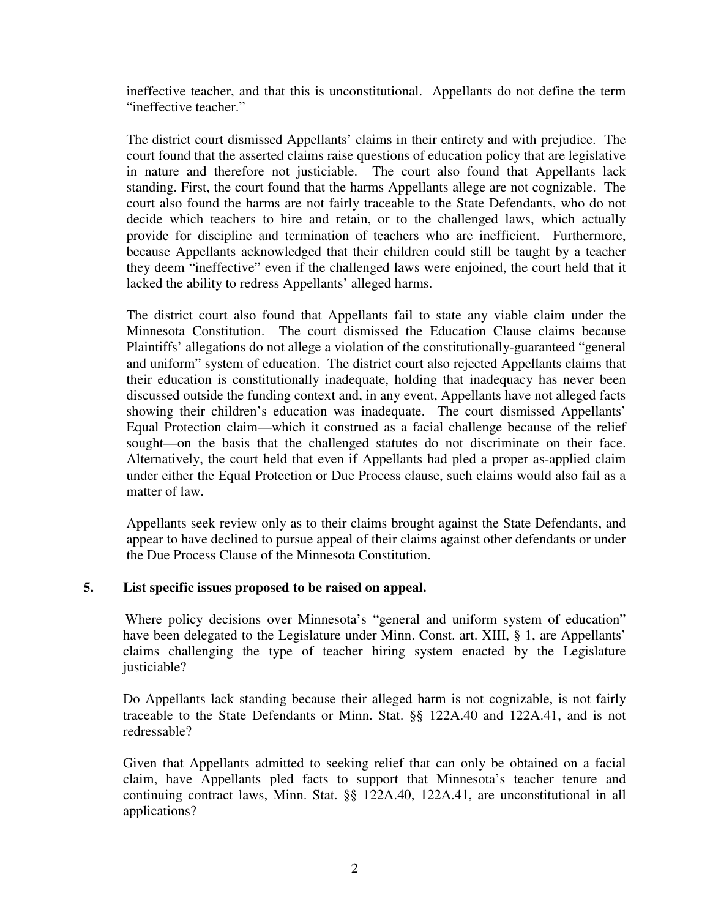ineffective teacher, and that this is unconstitutional. Appellants do not define the term "ineffective teacher."

The district court dismissed Appellants' claims in their entirety and with prejudice. The court found that the asserted claims raise questions of education policy that are legislative in nature and therefore not justiciable. The court also found that Appellants lack standing. First, the court found that the harms Appellants allege are not cognizable. The court also found the harms are not fairly traceable to the State Defendants, who do not decide which teachers to hire and retain, or to the challenged laws, which actually provide for discipline and termination of teachers who are inefficient. Furthermore, because Appellants acknowledged that their children could still be taught by a teacher they deem "ineffective" even if the challenged laws were enjoined, the court held that it lacked the ability to redress Appellants' alleged harms.

The district court also found that Appellants fail to state any viable claim under the Minnesota Constitution. The court dismissed the Education Clause claims because Plaintiffs' allegations do not allege a violation of the constitutionally-guaranteed "general and uniform" system of education. The district court also rejected Appellants claims that their education is constitutionally inadequate, holding that inadequacy has never been discussed outside the funding context and, in any event, Appellants have not alleged facts showing their children's education was inadequate. The court dismissed Appellants' Equal Protection claim—which it construed as a facial challenge because of the relief sought—on the basis that the challenged statutes do not discriminate on their face. Alternatively, the court held that even if Appellants had pled a proper as-applied claim under either the Equal Protection or Due Process clause, such claims would also fail as a matter of law.

Appellants seek review only as to their claims brought against the State Defendants, and appear to have declined to pursue appeal of their claims against other defendants or under the Due Process Clause of the Minnesota Constitution.

# **5. List specific issues proposed to be raised on appeal.**

Where policy decisions over Minnesota's "general and uniform system of education" have been delegated to the Legislature under Minn. Const. art. XIII, § 1, are Appellants' claims challenging the type of teacher hiring system enacted by the Legislature justiciable?

Do Appellants lack standing because their alleged harm is not cognizable, is not fairly traceable to the State Defendants or Minn. Stat. §§ 122A.40 and 122A.41, and is not redressable?

Given that Appellants admitted to seeking relief that can only be obtained on a facial claim, have Appellants pled facts to support that Minnesota's teacher tenure and continuing contract laws, Minn. Stat. §§ 122A.40, 122A.41, are unconstitutional in all applications?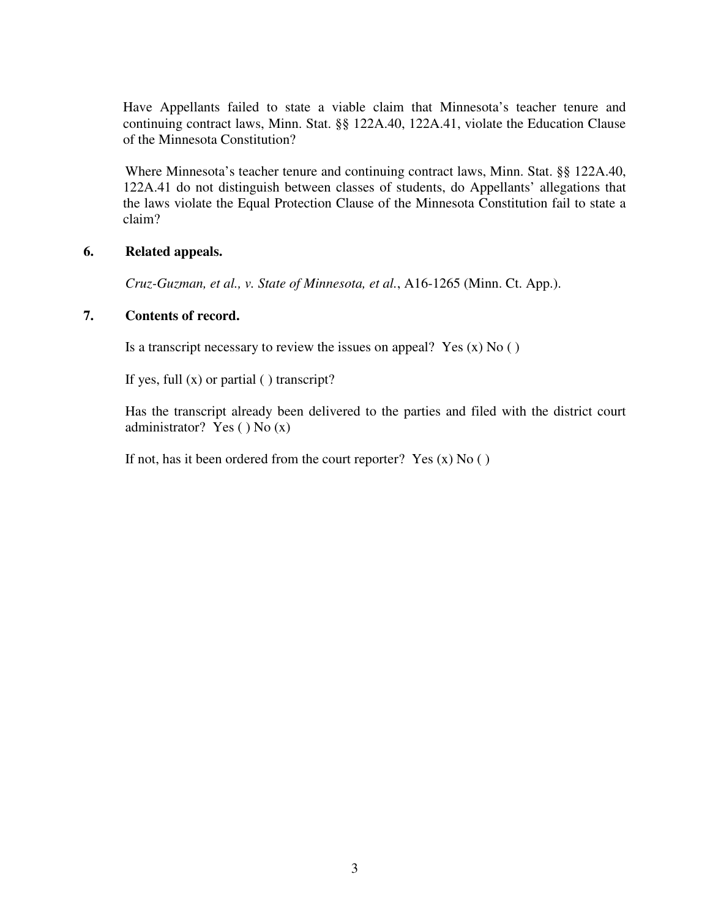Have Appellants failed to state a viable claim that Minnesota's teacher tenure and continuing contract laws, Minn. Stat. §§ 122A.40, 122A.41, violate the Education Clause of the Minnesota Constitution?

Where Minnesota's teacher tenure and continuing contract laws, Minn. Stat. §§ 122A.40, 122A.41 do not distinguish between classes of students, do Appellants' allegations that the laws violate the Equal Protection Clause of the Minnesota Constitution fail to state a claim?

### **6. Related appeals.**

*Cruz-Guzman, et al., v. State of Minnesota, et al.*, A16-1265 (Minn. Ct. App.).

## **7. Contents of record.**

Is a transcript necessary to review the issues on appeal? Yes  $(x)$  No  $( )$ 

If yes, full  $(x)$  or partial  $( )$  transcript?

 Has the transcript already been delivered to the parties and filed with the district court administrator? Yes  $()$  No  $(x)$ 

If not, has it been ordered from the court reporter? Yes  $(x)$  No  $( )$